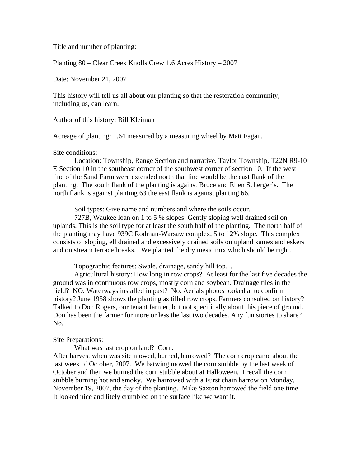Title and number of planting:

Planting 80 – Clear Creek Knolls Crew 1.6 Acres History – 2007

Date: November 21, 2007

This history will tell us all about our planting so that the restoration community, including us, can learn.

Author of this history: Bill Kleiman

Acreage of planting: 1.64 measured by a measuring wheel by Matt Fagan.

#### Site conditions:

 Location: Township, Range Section and narrative. Taylor Township, T22N R9-10 E Section 10 in the southeast corner of the southwest corner of section 10. If the west line of the Sand Farm were extended north that line would be the east flank of the planting. The south flank of the planting is against Bruce and Ellen Scherger's. The north flank is against planting 63 the east flank is against planting 66.

Soil types: Give name and numbers and where the soils occur.

 727B, Waukee loan on 1 to 5 % slopes. Gently sloping well drained soil on uplands. This is the soil type for at least the south half of the planting. The north half of the planting may have 939C Rodman-Warsaw complex, 5 to 12% slope. This complex consists of sloping, ell drained and excessively drained soils on upland kames and eskers and on stream terrace breaks. We planted the dry mesic mix which should be right.

Topographic features: Swale, drainage, sandy hill top…

 Agricultural history: How long in row crops? At least for the last five decades the ground was in continuous row crops, mostly corn and soybean. Drainage tiles in the field? NO. Waterways installed in past? No. Aerials photos looked at to confirm history? June 1958 shows the planting as tilled row crops. Farmers consulted on history? Talked to Don Rogers, our tenant farmer, but not specifically about this piece of ground. Don has been the farmer for more or less the last two decades. Any fun stories to share? No.

#### Site Preparations:

What was last crop on land? Corn.

After harvest when was site mowed, burned, harrowed? The corn crop came about the last week of October, 2007. We batwing mowed the corn stubble by the last week of October and then we burned the corn stubble about at Halloween. I recall the corn stubble burning hot and smoky. We harrowed with a Furst chain harrow on Monday, November 19, 2007, the day of the planting. Mike Saxton harrowed the field one time. It looked nice and litely crumbled on the surface like we want it.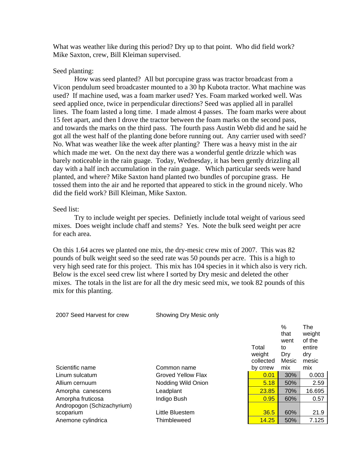What was weather like during this period? Dry up to that point. Who did field work? Mike Saxton, crew, Bill Kleiman supervised.

# Seed planting:

How was seed planted? All but porcupine grass was tractor broadcast from a Vicon pendulum seed broadcaster mounted to a 30 hp Kubota tractor. What machine was used? If machine used, was a foam marker used? Yes. Foam marked worked well. Was seed applied once, twice in perpendicular directions? Seed was applied all in parallel lines. The foam lasted a long time. I made almost 4 passes. The foam marks were about 15 feet apart, and then I drove the tractor between the foam marks on the second pass, and towards the marks on the third pass. The fourth pass Austin Webb did and he said he got all the west half of the planting done before running out. Any carrier used with seed? No. What was weather like the week after planting? There was a heavy mist in the air which made me wet. On the next day there was a wonderful gentle drizzle which was barely noticeable in the rain guage. Today, Wednesday, it has been gently drizzling all day with a half inch accumulation in the rain guage. Which particular seeds were hand planted, and where? Mike Saxton hand planted two bundles of porcupine grass. He tossed them into the air and he reported that appeared to stick in the ground nicely. Who did the field work? Bill Kleiman, Mike Saxton.

#### Seed list:

 Try to include weight per species. Definietly include total weight of various seed mixes. Does weight include chaff and stems? Yes. Note the bulk seed weight per acre for each area.

On this 1.64 acres we planted one mix, the dry-mesic crew mix of 2007. This was 82 pounds of bulk weight seed so the seed rate was 50 pounds per acre. This is a high to very high seed rate for this project. This mix has 104 species in it which also is very rich. Below is the excel seed crew list where I sorted by Dry mesic and deleted the other mixes. The totals in the list are for all the dry mesic seed mix, we took 82 pounds of this mix for this planting.

| 2007 Seed Harvest for crew | Showing Dry Mesic only |                              |                                            |                                                   |
|----------------------------|------------------------|------------------------------|--------------------------------------------|---------------------------------------------------|
|                            |                        | Total<br>weight<br>collected | $\%$<br>that<br>went<br>to<br>Dry<br>Mesic | The<br>weight<br>of the<br>entire<br>dry<br>mesic |
| Scientific name            | Common name            | by crrew                     | mix                                        | mix                                               |
| Linum sulcatum             | Groved Yellow Flax     | 0.01                         | 30%                                        | 0.003                                             |
| Allium cernuum             | Nodding Wild Onion     | 5.18                         | 50%                                        | 2.59                                              |
| Amorpha canescens          | Leadplant              | 23.85                        | 70%                                        | 16.695                                            |
| Amorpha fruticosa          | Indigo Bush            | 0.95                         | 60%                                        | 0.57                                              |
| Andropogon (Schizachyrium) |                        |                              |                                            |                                                   |
| scoparium                  | Little Bluestem        | 36.5                         | 60%                                        | 21.9                                              |
| Anemone cylindrica         | Thimbleweed            | 14.25                        | 50%                                        | 7.125                                             |
|                            |                        |                              |                                            |                                                   |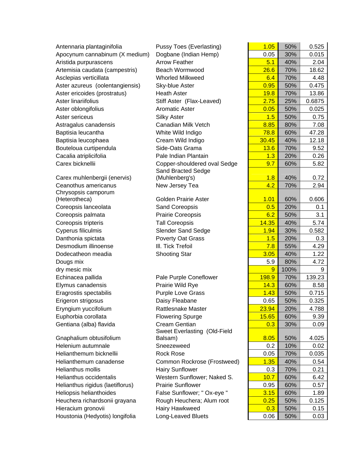| Antennaria plantaginifolia       | <b>Pussy Toes (Everlasting)</b> | 1.05         | 50%  | 0.525  |
|----------------------------------|---------------------------------|--------------|------|--------|
| Apocynum cannabinum (X medium)   | Dogbane (Indian Hemp)           | 0.05         | 30%  | 0.015  |
| Aristida purpurascens            | <b>Arrow Feather</b>            | 5.1          | 40%  | 2.04   |
| Artemisia caudata (campestris)   | <b>Beach Wormwood</b>           | 26.6         | 70%  | 18.62  |
| Asclepias verticillata           | <b>Whorled Milkweed</b>         | 6.4          | 70%  | 4.48   |
| Aster azureus (oolentangiensis)  | Sky-blue Aster                  | 0.95         | 50%  | 0.475  |
| Aster ericoides (prostratus)     | <b>Heath Aster</b>              | <b>19.8</b>  | 70%  | 13.86  |
| Aster linariifolius              | Stiff Aster (Flax-Leaved)       | 2.75         | 25%  | 0.6875 |
| Aster oblongifolius              | <b>Aromatic Aster</b>           | 0.05         | 50%  | 0.025  |
| Aster sericeus                   | <b>Silky Aster</b>              | 1.5          | 50%  | 0.75   |
| Astragalus canadensis            | Canadian Milk Vetch             | 8.85         | 80%  | 7.08   |
| Baptisia leucantha               | White Wild Indigo               | 78.8         | 60%  | 47.28  |
| Baptisia leucophaea              | Cream Wild Indigo               | 30.45        | 40%  | 12.18  |
| Bouteloua curtipendula           | Side-Oats Grama                 | 13.6         | 70%  | 9.52   |
| Cacalia atriplicifolia           | Pale Indian Plantain            | 1.3          | 20%  | 0.26   |
| Carex bicknellii                 | Copper-shouldered oval Sedge    | 9.7          | 60%  | 5.82   |
|                                  | Sand Bracted Sedge              |              |      |        |
| Carex muhlenbergii (enervis)     | (Muhlenberg's)                  | 1.8          | 40%  | 0.72   |
| Ceanothus americanus             | New Jersey Tea                  | 4.2          | 70%  | 2.94   |
| Chrysopsis camporum              |                                 |              |      |        |
| (Heterotheca)                    | <b>Golden Prairie Aster</b>     | 1.01         | 60%  | 0.606  |
| Coreopsis lanceolata             | Sand Coreopsis                  | 0.5          | 20%  | 0.1    |
| Coreopsis palmata                | Prairie Coreopsis               | 6.2          | 50%  | 3.1    |
| Coreopsis tripteris              | <b>Tall Coreopsis</b>           | 14.35        | 40%  | 5.74   |
| Cyperus filiculmis               | <b>Slender Sand Sedge</b>       | 1.94         | 30%  | 0.582  |
| Danthonia spictata               | Poverty Oat Grass               | 1.5          | 20%  | 0.3    |
| Desmodium illinoense             | III. Tick Trefoil               | 7.8          | 55%  | 4.29   |
| Dodecatheon meadia               | <b>Shooting Star</b>            | 3.05         | 40%  | 1.22   |
| Dougs mix                        |                                 | 5.9          | 80%  | 4.72   |
| dry mesic mix                    |                                 | 9            | 100% | 9      |
| Echinacea pallida                | Pale Purple Coneflower          | <b>198.9</b> | 70%  | 139.23 |
| Elymus canadensis                | Prairie Wild Rye                | 14.3         | 60%  | 8.58   |
| Eragrostis spectabilis           | Purple Love Grass               | 1.43         | 50%  | 0.715  |
| Erigeron strigosus               | Daisy Fleabane                  | 0.65         | 50%  | 0.325  |
| Eryngium yuccifolium             | Rattlesnake Master              | 23.94        | 20%  | 4.788  |
| Euphorbia corollata              | <b>Flowering Spurge</b>         | <b>15.65</b> | 60%  | 9.39   |
| Gentiana (alba) flavida          | Cream Gentian                   | 0.3          | 30%  | 0.09   |
|                                  | Sweet Everlasting (Old-Field    |              |      |        |
| Gnaphalium obtusifolium          | Balsam)                         | 8.05         | 50%  | 4.025  |
| Helenium autumnale               | Sneezeweed                      | 0.2          | 10%  | 0.02   |
| Helianthemum bicknellii          | <b>Rock Rose</b>                | 0.05         | 70%  | 0.035  |
| Helianthemum canadense           | Common Rockrose (Frostweed)     | 1.35         | 40%  | 0.54   |
| Helianthus mollis                | <b>Hairy Sunflower</b>          | 0.3          | 70%  | 0.21   |
| Helianthus occidentalis          | Western Sunflower; Naked S.     | 10.7         | 60%  | 6.42   |
| Helianthus rigidus (laetiflorus) | <b>Prairie Sunflower</b>        | 0.95         | 60%  | 0.57   |
| Heliopsis helianthoides          | False Sunflower; " Ox-eye "     | 3.15         | 60%  | 1.89   |
| Heuchera richardsonii grayana    | Rough Heuchera; Alum root       | 0.25         | 50%  | 0.125  |
| Hieracium gronovii               | Hairy Hawkweed                  | 0.3          | 50%  | 0.15   |
| Houstonia (Hedyotis) longifolia  | Long-Leaved Bluets              | 0.06         | 50%  | 0.03   |

| 1.05         | 50%  | 0.525        |
|--------------|------|--------------|
| 0.05         | 30%  | 0.015        |
| 5.1          | 40%  | 2.04         |
| 26.6         | 70%  | 18.62        |
| 6.4          | 70%  | 4.48         |
| 0.95         | 50%  | 0.475        |
| 19.8         | 70%  | 13.86        |
| 2.75         | 25%  | 0.6875       |
| 0.05         | 50%  | 0.025        |
| 1.5          | 50%  | 0.75         |
| 8.85         | 80%  | 7.08         |
| 78.8         | 60%  | 47.28        |
| 30.45        | 40%  | 12.18        |
| 13.6         | 70%  | 9.52         |
| 1.3          | 20%  | 0.26         |
| 9.7          | 60%  | 5.82         |
|              |      |              |
| 1.8          | 40%  | 0.72         |
| 4.2          | 70%  | 2.94         |
|              |      |              |
| 1.01         | 60%  | 0.606        |
| 0.5          | 20%  | 0.1          |
| 6.2          | 50%  | 3.1          |
| 14.35        | 40%  | 5.74         |
| 1.94         | 30%  | 0.582        |
| 1.5          | 20%  | 0.3          |
| 7.8          | 55%  | 4.29         |
| 3.05         | 40%  | 1.22         |
| 5.9          | 80%  | 4.72         |
| 9            | 100% | 9            |
| <b>198.9</b> | 70%  | 139.23       |
| 14.3         | 60%  | 8.58         |
| 1.43         | 50%  | 0.715        |
| 0.65         | 50%  | 0.325        |
| 23.94        | 20%  | 4.788        |
| <b>15.65</b> | 60%  | 9.39         |
| 0.3          | 30%  | 0.09         |
| 8.05         | 50%  | 4.025        |
| 0.2          | 10%  | 0.02         |
| 0.05         | 70%  | 0.035        |
| 1.35         | 40%  | 0.54         |
| 0.3          | 70%  | 0.21         |
| 10.7         | 60%  | 6.42         |
| 0.95         | 60%  | 0.57         |
| 3.15         | 60%  | 1.89         |
| 0.25         | 50%  | 0.125        |
|              | 50%  |              |
| 0.3<br>0.06  | 50%  | 0.15<br>0.03 |
|              |      |              |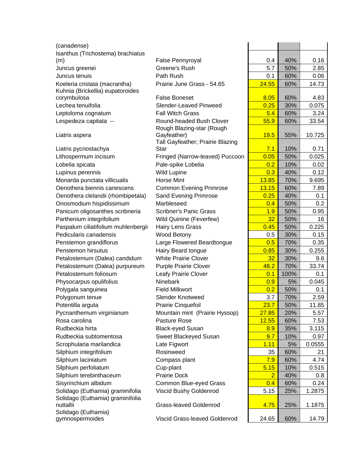| (canadense)                         |                                  |                |      |         |
|-------------------------------------|----------------------------------|----------------|------|---------|
| Isanthus (Trichostema) brachiatus   |                                  |                |      |         |
| (m)                                 | False Pennyroyal                 | 0.4            | 40%  | 0.16    |
| Juncus greenei                      | Greene's Rush                    | 5.7            | 50%  | 2.85    |
| Juncus tenuis                       | Path Rush                        | 0.1            | 60%  | 0.06    |
| Koeleria cristata (macrantha)       | Prairie June Grass - 54.65       | 24.55          | 60%  | 14.73   |
| Kuhnia (Brickellia) eupatoroides    |                                  |                |      |         |
| corymbulosa                         | <b>False Boneset</b>             | 8.05           | 60%  | 4.83    |
| Lechea tenuifolia                   | Slender-Leaved Pinweed           | 0.25           | 30%  | 0.075   |
| Leptoloma cognatum                  | <b>Fall Witch Grass</b>          | 5.4            | 60%  | 3.24    |
| Lespedeza capitata --               | Round-headed Bush Clover         | 55.9           | 60%  | 33.54   |
|                                     | Rough Blazing-star (Rough        |                |      |         |
| Liatris aspera                      | Gayfeather)                      | 19.5           | 55%  | 10.725  |
|                                     | Tall Gayfeather; Prairie Blazing |                |      |         |
| Liatris pycnostachya                | <b>Star</b>                      | 7.1            | 10%  | 0.71    |
| Lithospermum incisum                | Fringed (Narrow-leaved) Puccoon  | 0.05           | 50%  | 0.025   |
| Lobelia spicata                     | Pale-spike Lobelia               | 0.2            | 10%  | 0.02    |
| Lupinus perennis                    | <b>Wild Lupine</b>               | 0.3            | 40%  | 0.12    |
| Monarda punctata villicualis        | <b>Horse Mint</b>                | 13.85          | 70%  | 9.695   |
| Oenothera biennis canescens         | <b>Common Evening Primrose</b>   | 13.15          | 60%  | 7.89    |
| Oenothera clelandii (rhombipetala)  | Sand Evening Primrose            | 0.25           | 40%  | 0.1     |
| Onosmodium hispidissimum            | Marbleseed                       | 0.4            | 50%  | 0.2     |
| Panicum oligosanthes scribneria     | <b>Scribner's Panic Grass</b>    | 1.9            | 50%  | 0.95    |
| Parthenium integrifolium            | Wild Quinine (Feverfew)          | 32             | 50%  | 16      |
| Paspalum ciliatifolium muhlenbergii | <b>Hairy Lens Grass</b>          | 0.45           | 50%  | 0.225   |
| Pedicularis canadensis              | Wood Betony                      | 0.5            | 30%  | 0.15    |
| Penstemon grandiflorus              | Large Flowered Beardtongue       | 0.5            | 70%  | 0.35    |
| Penstemon hirsutus                  | Hairy Beard tongue               | 0.85           | 30%  | 0.255   |
| Petalostemum (Dalea) candidum       | <b>White Prairie Clover</b>      | 32             | 30%  | 9.6     |
| Petalostemum (Dalea) purpureum      | <b>Purple Prairie Clover</b>     | 48.2           | 70%  | 33.74   |
| Petalostemum foliosum               | Leafy Prairie Clover             | 0.1            | 100% | 0.1     |
| Physocarpus opulifolius             | Ninebark                         | 0.9            | 5%   | 0.045   |
| Polygala sanguinea                  | <b>Field Milkwort</b>            | 0.2            | 50%  | 0.1     |
| Polygonum tenue                     | <b>Slender Knotweed</b>          | 3.7            | 70%  | 2.59    |
| Potentilla arguta                   | Prairie Cinquefoil               | 23.7           | 50%  | 11.85   |
| Pycnanthemum virginianum            | Mountain mint (Prairie Hyssop)   | 27.85          | 20%  | 5.57    |
| Rosa carolina                       | Pasture Rose                     | 12.55          | 60%  | 7.53    |
| Rudbeckia hirta                     |                                  |                | 35%  |         |
|                                     | <b>Black-eyed Susan</b>          | 8.9            |      | 3.115   |
| Rudbeckia subtomentosa              | Sweet Blackeyed Susan            | 9.7            | 10%  | 0.97    |
| Scrophularia marilandica            | Late Figwort                     | 1.11           | 5%   | 0.0555  |
| Silphium integrifolium              | Rosinweed                        | 35             | 60%  | 21      |
| Silphium laciniatum                 | Compass plant                    | 7.9            | 60%  | 4.74    |
| Silphium perfoliatum                | Cup-plant                        | 5.15           | 10%  | 0.515   |
| Silphium terebinthaceum             | <b>Prairie Dock</b>              | $\overline{2}$ | 40%  | $0.8\,$ |
| Sisyrinchium albidum                | Common Blue-eyed Grass           | 0.4            | 60%  | 0.24    |
| Solidago (Euthamia) graminifolia    | Viscid Bushy Goldenrod           | 5.15           | 25%  | 1.2875  |
| Solidago (Euthamia) graminifolia    |                                  |                |      |         |
| nuttallii                           | Grass-leaved Goldenrod           | 4.75           | 25%  | 1.1875  |
| Solidago (Euthamia)                 |                                  |                |      |         |
| gymnospermoides                     | Viscid Grass-leaved Goldenrod    | 24.65          | 60%  | 14.79   |